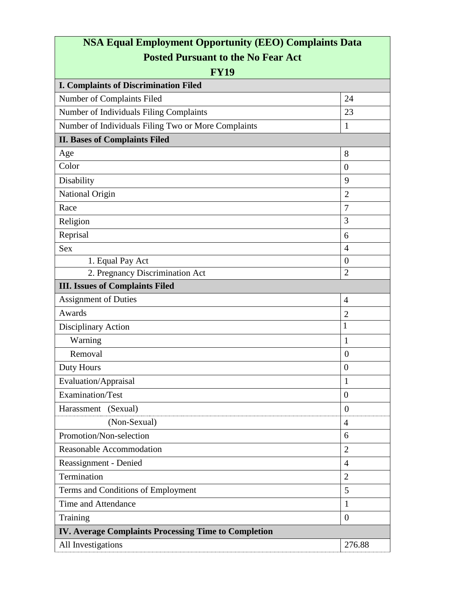| <b>NSA Equal Employment Opportunity (EEO) Complaints Data</b><br><b>Posted Pursuant to the No Fear Act</b><br><b>FY19</b><br><b>I. Complaints of Discrimination Filed</b> |                |                                                     |              |
|---------------------------------------------------------------------------------------------------------------------------------------------------------------------------|----------------|-----------------------------------------------------|--------------|
|                                                                                                                                                                           |                | Number of Complaints Filed                          | 24           |
|                                                                                                                                                                           |                | Number of Individuals Filing Complaints             | 23           |
|                                                                                                                                                                           |                | Number of Individuals Filing Two or More Complaints | $\mathbf{1}$ |
| <b>II. Bases of Complaints Filed</b>                                                                                                                                      |                |                                                     |              |
| Age                                                                                                                                                                       | 8              |                                                     |              |
| Color                                                                                                                                                                     | $\overline{0}$ |                                                     |              |
| Disability                                                                                                                                                                | 9              |                                                     |              |
| National Origin                                                                                                                                                           | $\overline{2}$ |                                                     |              |
| Race                                                                                                                                                                      | $\overline{7}$ |                                                     |              |
| Religion                                                                                                                                                                  | 3              |                                                     |              |
| Reprisal                                                                                                                                                                  | 6              |                                                     |              |
| <b>Sex</b>                                                                                                                                                                | $\overline{4}$ |                                                     |              |
| 1. Equal Pay Act                                                                                                                                                          | $\overline{0}$ |                                                     |              |
| 2. Pregnancy Discrimination Act                                                                                                                                           | $\overline{2}$ |                                                     |              |
| <b>III.</b> Issues of Complaints Filed                                                                                                                                    |                |                                                     |              |
| <b>Assignment of Duties</b>                                                                                                                                               | $\overline{4}$ |                                                     |              |
| Awards                                                                                                                                                                    | $\overline{2}$ |                                                     |              |
| Disciplinary Action                                                                                                                                                       | 1              |                                                     |              |
| Warning                                                                                                                                                                   | $\mathbf{1}$   |                                                     |              |
| Removal                                                                                                                                                                   | $\overline{0}$ |                                                     |              |
| <b>Duty Hours</b>                                                                                                                                                         | $\overline{0}$ |                                                     |              |
| Evaluation/Appraisal                                                                                                                                                      | 1              |                                                     |              |
| Examination/Test                                                                                                                                                          | $\overline{0}$ |                                                     |              |
| Harassment (Sexual)                                                                                                                                                       | $\overline{0}$ |                                                     |              |
| (Non-Sexual)                                                                                                                                                              | $\overline{4}$ |                                                     |              |
| Promotion/Non-selection                                                                                                                                                   | 6              |                                                     |              |
| Reasonable Accommodation                                                                                                                                                  | $\overline{2}$ |                                                     |              |
| Reassignment - Denied                                                                                                                                                     | $\overline{4}$ |                                                     |              |
| Termination                                                                                                                                                               | $\overline{2}$ |                                                     |              |
| Terms and Conditions of Employment                                                                                                                                        | 5              |                                                     |              |
| Time and Attendance                                                                                                                                                       | 1              |                                                     |              |
| Training                                                                                                                                                                  | $\overline{0}$ |                                                     |              |
| IV. Average Complaints Processing Time to Completion                                                                                                                      |                |                                                     |              |
| All Investigations                                                                                                                                                        | 276.88         |                                                     |              |
|                                                                                                                                                                           |                |                                                     |              |